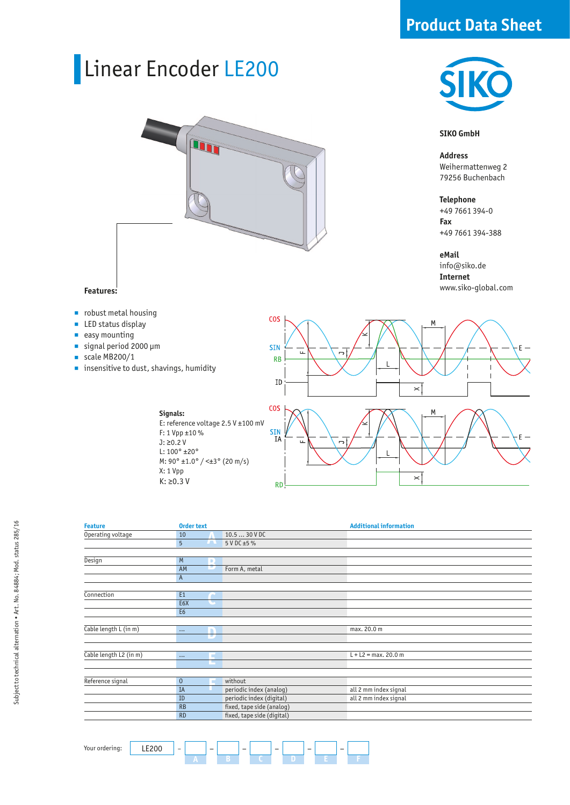## **Product Data Sheet**

# Linear Encoder LE200



**COS** 

### **SIKO GmbH**

**Address**  Weihermattenweg 2 79256 Buchenbach

**Telephone** +49 7661 394-0 **Fax** +49 7661 394-388

**eMail** info@siko.de

**Internet** www.siko-global.com

### **Features:**

- **n** robust metal housing
- LED status display  $\overline{\phantom{a}}$
- easy mounting Î.
- signal period 2000 µm Ì.
- scale MB200/1
- **n** insensitive to dust, shavings, humidity



 $\check{ }$ 

| <b>Feature</b>         | <b>Order text</b> |                             |                            | <b>Additional information</b> |
|------------------------|-------------------|-----------------------------|----------------------------|-------------------------------|
| Operating voltage      | 10                |                             | 10.5  30 V DC              |                               |
|                        | 5                 | $\overline{\phantom{a}}$    | 5 V DC ±5 %                |                               |
|                        |                   |                             |                            |                               |
| Design                 | M                 | D                           |                            |                               |
|                        | AM                | IP.                         | Form A, metal              |                               |
|                        | $\mathsf{A}$      |                             |                            |                               |
|                        |                   |                             |                            |                               |
| Connection             | E1                |                             |                            |                               |
|                        | E <sub>6</sub> X  | $\mathcal{L}_{\mathcal{A}}$ |                            |                               |
|                        | E <sub>6</sub>    |                             |                            |                               |
|                        |                   |                             |                            |                               |
| Cable length L (in m)  | $\cdots$          | n                           |                            | max. 20.0 m                   |
|                        |                   | π,                          |                            |                               |
|                        |                   |                             |                            |                               |
| Cable length L2 (in m) | $\cdots$          | ш                           |                            | $L + L2 = max. 20.0 m$        |
|                        |                   |                             |                            |                               |
|                        |                   |                             |                            |                               |
| Reference signal       | $\mathbf{0}$      |                             | without                    |                               |
|                        | IA                |                             | periodic index (analog)    | all 2 mm index signal         |
|                        | ID                |                             | periodic index (digital)   | all 2 mm index signal         |
|                        | RB                |                             | fixed, tape side (analog)  |                               |
|                        | <b>RD</b>         |                             | fixed, tape side (digital) |                               |